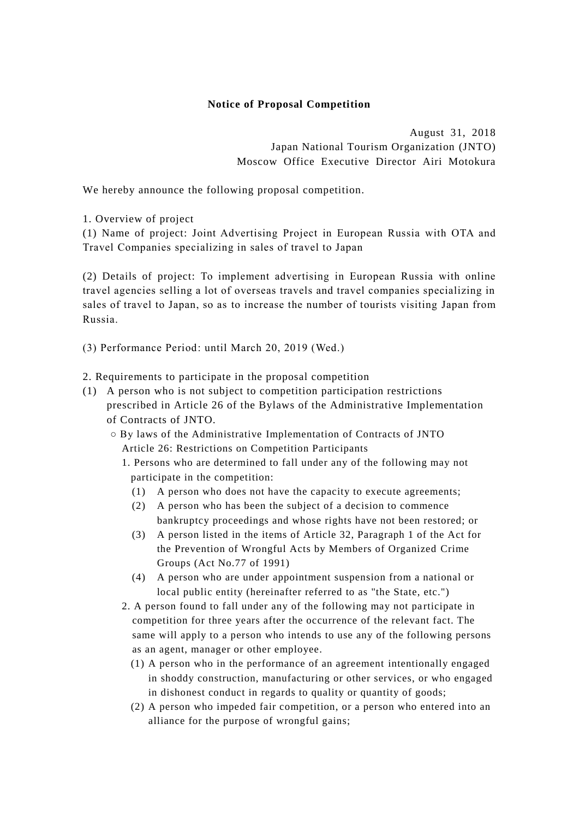## **Notice of Proposal Competition**

August 31, 2018 Japan National Tourism Organization (JNTO) Moscow Office Executive Director Airi Motokura

We hereby announce the following proposal competition.

1. Overview of project

(1) Name of project: Joint Advertising Project in European Russia with OTA and Travel Companies specializing in sales of travel to Japan

(2) Details of project: To implement advertising in European Russia with online travel agencies selling a lot of overseas travels and travel companies specializing in sales of travel to Japan, so as to increase the number of tourists visiting Japan from Russia.

(3) Performance Period: until March 20, 2019 (Wed.)

2. Requirements to participate in the proposal competition

- (1) A person who is not subject to competition participation restrictions prescribed in Article 26 of the Bylaws of the Administrative Implementation of Contracts of JNTO.
	- By laws of the Administrative Implementation of Contracts of JNTO Article 26: Restrictions on Competition Participants
		- 1. Persons who are determined to fall under any of the following may not participate in the competition:
			- (1) A person who does not have the capacity to execute agreements;
			- (2) A person who has been the subject of a decision to commence bankruptcy proceedings and whose rights have not been restored; or
			- (3) A person listed in the items of Article 32, Paragraph 1 of the Act for the Prevention of Wrongful Acts by Members of Organized Crime Groups (Act No.77 of 1991)
			- (4) A person who are under appointment suspension from a national or local public entity (hereinafter referred to as "the State, etc.")
		- 2. A person found to fall under any of the following may not participate in competition for three years after the occurrence of the relevant fact. The same will apply to a person who intends to use any of the following persons as an agent, manager or other employee.
			- (1) A person who in the performance of an agreement intentionally engaged in shoddy construction, manufacturing or other services, or who engaged in dishonest conduct in regards to quality or quantity of goods;
			- (2) A person who impeded fair competition, or a person who entered into an alliance for the purpose of wrongful gains;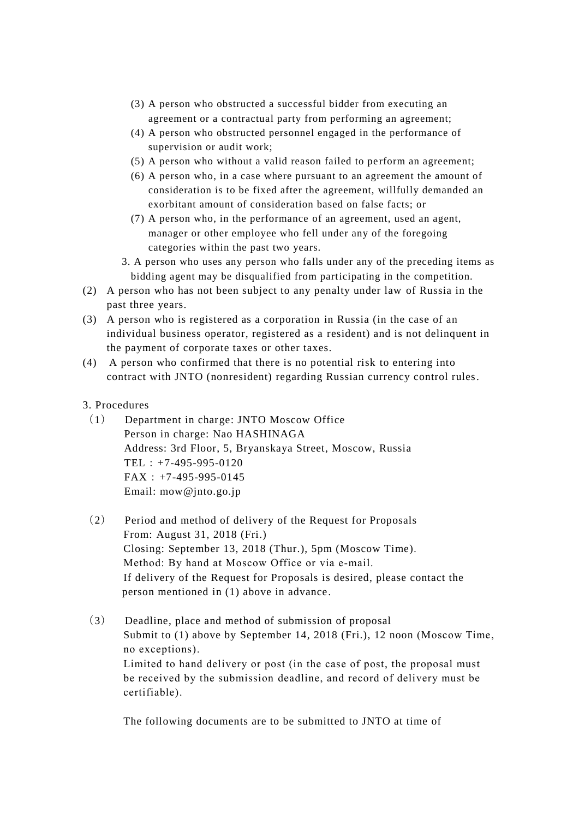- (3) A person who obstructed a successful bidder from executing an agreement or a contractual party from performing an agreement;
- (4) A person who obstructed personnel engaged in the performance of supervision or audit work;
- (5) A person who without a valid reason failed to perform an agreement;
- (6) A person who, in a case where pursuant to an agreement the amount of consideration is to be fixed after the agreement, willfully demanded an exorbitant amount of consideration based on false facts; or
- (7) A person who, in the performance of an agreement, used an agent, manager or other employee who fell under any of the foregoing categories within the past two years.
- 3. A person who uses any person who falls under any of the preceding items as bidding agent may be disqualified from participating in the competition.
- (2) A person who has not been subject to any penalty under law of Russia in the past three years.
- (3) A person who is registered as a corporation in Russia (in the case of an individual business operator, registered as a resident) and is not delinquent in the payment of corporate taxes or other taxes.
- (4) A person who confirmed that there is no potential risk to entering into contract with JNTO (nonresident) regarding Russian currency control rules.
- 3. Procedures
	- (1) Department in charge: JNTO Moscow Office Person in charge: Nao HASHINAGA Address: 3rd Floor, 5, Bryanskaya Street, Moscow, Russia TEL:+7-495-995-0120  $FAX: +7-495-995-0145$ Email: mow@jnto.go.jp
	- (2) Period and method of delivery of the Request for Proposals From: August 31, 2018 (Fri.) Closing: September 13, 2018 (Thur.), 5pm (Moscow Time). Method: By hand at Moscow Office or via e-mail. If delivery of the Request for Proposals is desired, please contact the person mentioned in (1) above in advance.
	- (3) Deadline, place and method of submission of proposal Submit to (1) above by September 14, 2018 (Fri.), 12 noon (Moscow Time, no exceptions). Limited to hand delivery or post (in the case of post, the proposal must be received by the submission deadline, and record of delivery must be certifiable).

The following documents are to be submitted to JNTO at time of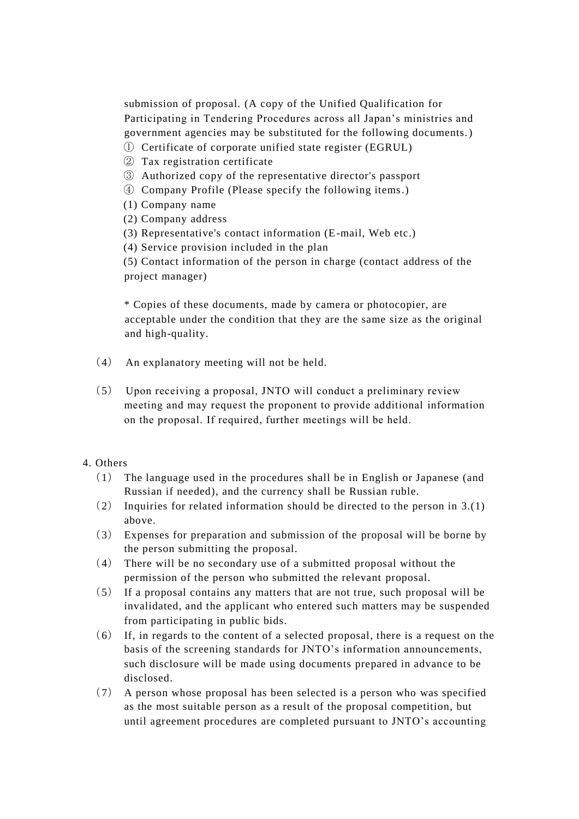submission of proposal. (A copy of the Unified Qualification for Participating in Tendering Procedures across all Japan's ministries and government agencies may be substituted for the following documents.)

- ① Certificate of corporate unified state register (EGRUL)
- ② Tax registration certificate
- ③ Authorized copy of the representative director's passport
- ④ Company Profile (Please specify the following items.)
- (1) Company name
- (2) Company address
- (3) Representative's contact information (E-mail, Web etc.)
- (4) Service provision included in the plan

(5) Contact information of the person in charge (contact address of the project manager)

\* Copies of these documents, made by camera or photocopier, are acceptable under the condition that they are the same size as the original and high-quality.

- (4) An explanatory meeting will not be held.
- (5) Upon receiving a proposal, JNTO will conduct a preliminary review meeting and may request the proponent to provide additional information on the proposal. If required, further meetings will be held.

## 4. Others

- (1) The language used in the procedures shall be in English or Japanese (and Russian if needed), and the currency shall be Russian ruble.
- (2) Inquiries for related information should be directed to the person in 3.(1) above.
- (3) Expenses for preparation and submission of the proposal will be borne by the person submitting the proposal.
- (4) There will be no secondary use of a submitted proposal without the permission of the person who submitted the relevant proposal.
- (5) If a proposal contains any matters that are not true, such proposal will be invalidated, and the applicant who entered such matters may be suspended from participating in public bids.
- (6) If, in regards to the content of a selected proposal, there is a request on the basis of the screening standards for JNTO's information announcements, such disclosure will be made using documents prepared in advance to be disclosed.
- (7) A person whose proposal has been selected is a person who was specified as the most suitable person as a result of the proposal competition, but until agreement procedures are completed pursuant to JNTO's accounting